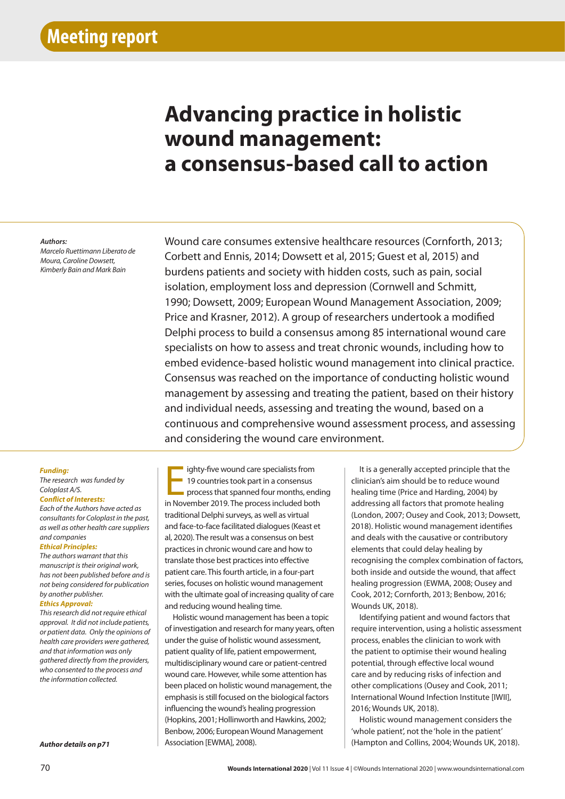# **Advancing practice in holistic wound management: a consensus-based call to action**

#### *Authors:*

*Marcelo Ruettimann Liberato de Moura, Caroline Dowsett, Kimberly Bain and Mark Bain*

Wound care consumes extensive healthcare resources (Cornforth, 2013; Corbett and Ennis, 2014; Dowsett et al, 2015; Guest et al, 2015) and burdens patients and society with hidden costs, such as pain, social isolation, employment loss and depression (Cornwell and Schmitt, 1990; Dowsett, 2009; European Wound Management Association, 2009; Price and Krasner, 2012). A group of researchers undertook a modified Delphi process to build a consensus among 85 international wound care specialists on how to assess and treat chronic wounds, including how to embed evidence-based holistic wound management into clinical practice. Consensus was reached on the importance of conducting holistic wound management by assessing and treating the patient, based on their history and individual needs, assessing and treating the wound, based on a continuous and comprehensive wound assessment process, and assessing and considering the wound care environment.

## *Funding:*

## *The research was funded by Coloplast A/S. Conflict of Interests:*

*Each of the Authors have acted as consultants for Coloplast in the past, as well as other health care suppliers and companies*

### *Ethical Principles:*

*The authors warrant that this manuscript is their original work, has not been published before and is not being considered for publication by another publisher.*

## *Ethics Approval:*

*This research did not require ethical approval. It did not include patients, or patient data. Only the opinions of health care providers were gathered, and that information was only gathered directly from the providers, who consented to the process and the information collected.*

*Author details on p71*

ighty-five wound care specialists from<br>19 countries took part in a consensus<br>process that spanned four months, end<br>in November 2019. The process included both ighty-five wound care specialists from 19 countries took part in a consensus process that spanned four months, ending traditional Delphi surveys, as well as virtual and face-to-face facilitated dialogues (Keast et al, 2020). The result was a consensus on best practices in chronic wound care and how to translate those best practices into effective patient care. This fourth article, in a four-part series, focuses on holistic wound management with the ultimate goal of increasing quality of care and reducing wound healing time.

Holistic wound management has been a topic of investigation and research for many years, often under the guise of holistic wound assessment, patient quality of life, patient empowerment, multidisciplinary wound care or patient-centred wound care. However, while some attention has been placed on holistic wound management, the emphasis is still focused on the biological factors influencing the wound's healing progression (Hopkins, 2001; Hollinworth and Hawkins, 2002; Benbow, 2006; European Wound Management Association [EWMA], 2008).

It is a generally accepted principle that the clinician's aim should be to reduce wound healing time (Price and Harding, 2004) by addressing all factors that promote healing (London, 2007; Ousey and Cook, 2013; Dowsett, 2018). Holistic wound management identifies and deals with the causative or contributory elements that could delay healing by recognising the complex combination of factors, both inside and outside the wound, that affect healing progression (EWMA, 2008; Ousey and Cook, 2012; Cornforth, 2013; Benbow, 2016; Wounds UK, 2018).

Identifying patient and wound factors that require intervention, using a holistic assessment process, enables the clinician to work with the patient to optimise their wound healing potential, through effective local wound care and by reducing risks of infection and other complications (Ousey and Cook, 2011; International Wound Infection Institute [IWII], 2016; Wounds UK, 2018).

Holistic wound management considers the 'whole patient', not the 'hole in the patient' (Hampton and Collins, 2004; Wounds UK, 2018).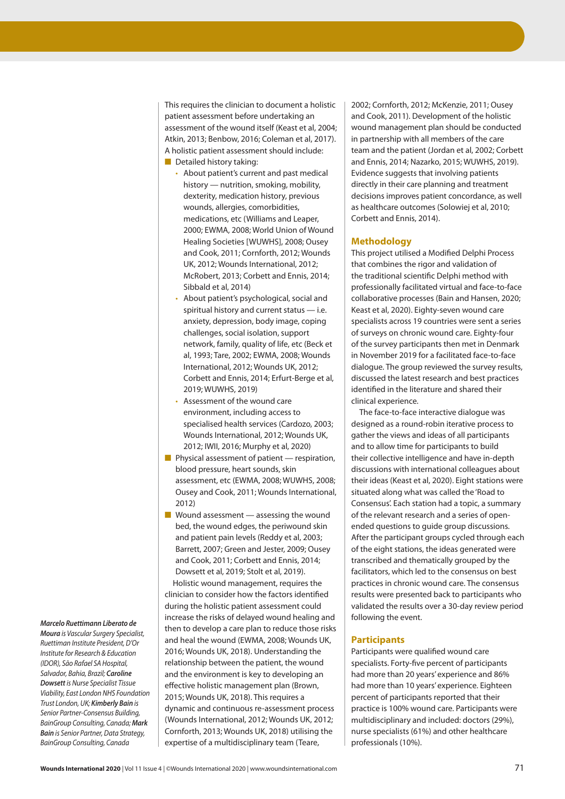This requires the clinician to document a holistic patient assessment before undertaking an assessment of the wound itself (Keast et al, 2004; Atkin, 2013; Benbow, 2016; Coleman et al, 2017). A holistic patient assessment should include:

- Detailed history taking:
	- About patient's current and past medical history — nutrition, smoking, mobility, dexterity, medication history, previous wounds, allergies, comorbidities, medications, etc (Williams and Leaper, 2000; EWMA, 2008; World Union of Wound Healing Societies [WUWHS], 2008; Ousey and Cook, 2011; Cornforth, 2012; Wounds UK, 2012; Wounds International, 2012; McRobert, 2013; Corbett and Ennis, 2014; Sibbald et al, 2014)
	- About patient's psychological, social and spiritual history and current status — i.e. anxiety, depression, body image, coping challenges, social isolation, support network, family, quality of life, etc (Beck et al, 1993; Tare, 2002; EWMA, 2008; Wounds International, 2012; Wounds UK, 2012; Corbett and Ennis, 2014; Erfurt-Berge et al, 2019; WUWHS, 2019)
	- Assessment of the wound care environment, including access to specialised health services (Cardozo, 2003; Wounds International, 2012; Wounds UK, 2012; IWII, 2016; Murphy et al, 2020)
- Physical assessment of patient respiration, blood pressure, heart sounds, skin assessment, etc (EWMA, 2008; WUWHS, 2008; Ousey and Cook, 2011; Wounds International, 2012)
- $\blacksquare$  Wound assessment assessing the wound bed, the wound edges, the periwound skin and patient pain levels (Reddy et al, 2003; Barrett, 2007; Green and Jester, 2009; Ousey and Cook, 2011; Corbett and Ennis, 2014; Dowsett et al, 2019; Stolt et al, 2019).

Holistic wound management, requires the clinician to consider how the factors identified during the holistic patient assessment could increase the risks of delayed wound healing and then to develop a care plan to reduce those risks and heal the wound (EWMA, 2008; Wounds UK, 2016; Wounds UK, 2018). Understanding the relationship between the patient, the wound and the environment is key to developing an effective holistic management plan (Brown, 2015; Wounds UK, 2018). This requires a dynamic and continuous re-assessment process (Wounds International, 2012; Wounds UK, 2012; Cornforth, 2013; Wounds UK, 2018) utilising the expertise of a multidisciplinary team (Teare,

2002; Cornforth, 2012; McKenzie, 2011; Ousey and Cook, 2011). Development of the holistic wound management plan should be conducted in partnership with all members of the care team and the patient (Jordan et al, 2002; Corbett and Ennis, 2014; Nazarko, 2015; WUWHS, 2019). Evidence suggests that involving patients directly in their care planning and treatment decisions improves patient concordance, as well as healthcare outcomes (Solowiej et al, 2010; Corbett and Ennis, 2014).

# **Methodology**

This project utilised a Modified Delphi Process that combines the rigor and validation of the traditional scientific Delphi method with professionally facilitated virtual and face-to-face collaborative processes (Bain and Hansen, 2020; Keast et al, 2020). Eighty-seven wound care specialists across 19 countries were sent a series of surveys on chronic wound care. Eighty-four of the survey participants then met in Denmark in November 2019 for a facilitated face-to-face dialogue. The group reviewed the survey results, discussed the latest research and best practices identified in the literature and shared their clinical experience.

The face-to-face interactive dialogue was designed as a round-robin iterative process to gather the views and ideas of all participants and to allow time for participants to build their collective intelligence and have in-depth discussions with international colleagues about their ideas (Keast et al, 2020). Eight stations were situated along what was called the 'Road to Consensus'. Each station had a topic, a summary of the relevant research and a series of openended questions to guide group discussions. After the participant groups cycled through each of the eight stations, the ideas generated were transcribed and thematically grouped by the facilitators, which led to the consensus on best practices in chronic wound care. The consensus results were presented back to participants who validated the results over a 30-day review period following the event.

# **Participants**

Participants were qualified wound care specialists. Forty-five percent of participants had more than 20 years' experience and 86% had more than 10 years' experience. Eighteen percent of participants reported that their practice is 100% wound care. Participants were multidisciplinary and included: doctors (29%), nurse specialists (61%) and other healthcare professionals (10%).

## *Marcelo Ruettimann Liberato de*

*Moura is Vascular Surgery Specialist, Ruettiman Institute President, D'Or Institute for Research & Education (IDOR), São Rafael SA Hospital, Salvador, Bahia, Brazil; Caroline Dowsett is Nurse Specialist Tissue Viability, East London NHS Foundation Trust London, UK; Kimberly Bain is Senior Partner-Consensus Building, BainGroup Consulting, Canada; Mark Bain is Senior Partner, Data Strategy, BainGroup Consulting, Canada*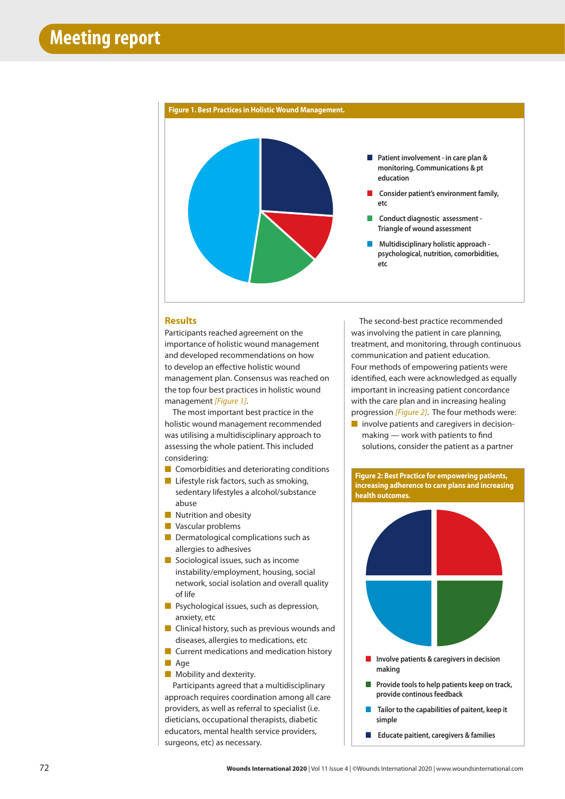

## **Results**

Participants reached agreement on the importance of holistic wound management and developed recommendations on how to develop an effective holistic wound management plan. Consensus was reached on the top four best practices in holistic wound management *[Figure 1]*.

The most important best practice in the holistic wound management recommended was utilising a multidisciplinary approach to assessing the whole patient. This included considering:

- Comorbidities and deteriorating conditions
- Lifestyle risk factors, such as smoking, sedentary lifestyles a alcohol/substance abuse
- Nutrition and obesity
- Vascular problems
- Dermatological complications such as allergies to adhesives
- Sociological issues, such as income instability/employment, housing, social network, social isolation and overall quality of life
- Psychological issues, such as depression, anxiety, etc
- Clinical history, such as previous wounds and diseases, allergies to medications, etc
- Current medications and medication history ■ Age
- Mobility and dexterity.

Participants agreed that a multidisciplinary approach requires coordination among all care providers, as well as referral to specialist (i.e. dieticians, occupational therapists, diabetic educators, mental health service providers, surgeons, etc) as necessary.

The second-best practice recommended was involving the patient in care planning, treatment, and monitoring, through continuous communication and patient education. Four methods of empowering patients were identified, each were acknowledged as equally important in increasing patient concordance with the care plan and in increasing healing progression *[Figure 2]*. The four methods were:

■ involve patients and caregivers in decisionmaking — work with patients to find solutions, consider the patient as a partner





- **Involve patients & caregivers in decision making**
- **Provide tools to help patients keep on track**, **provide continous feedback**
- **Tailor to the capabilities of paitent, keep it simple**
- ■ **Educate paitient, caregivers & families**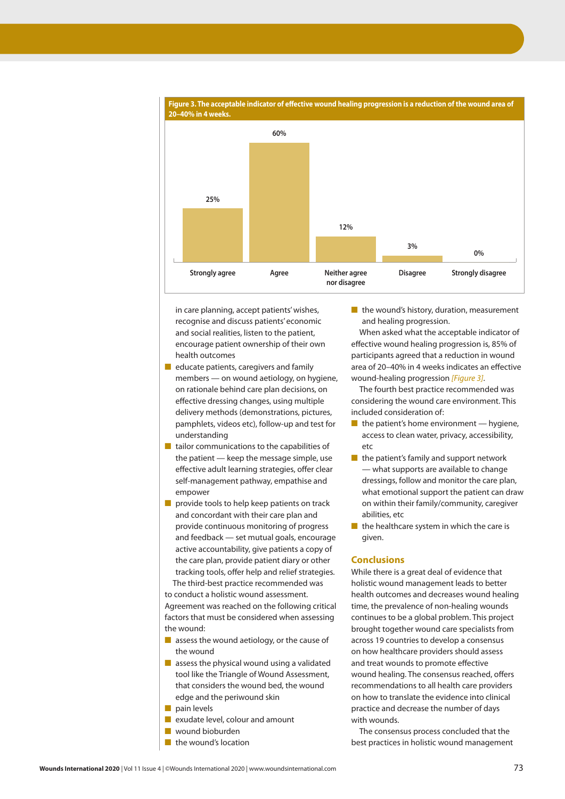

**Figure 3. The acceptable indicator of effective wound healing progression is a reduction of the wound area of** 

in care planning, accept patients' wishes, recognise and discuss patients' economic and social realities, listen to the patient, encourage patient ownership of their own health outcomes

- educate patients, caregivers and family members — on wound aetiology, on hygiene, on rationale behind care plan decisions, on effective dressing changes, using multiple delivery methods (demonstrations, pictures, pamphlets, videos etc), follow-up and test for understanding
- tailor communications to the capabilities of the patient — keep the message simple, use effective adult learning strategies, offer clear self-management pathway, empathise and empower
- provide tools to help keep patients on track and concordant with their care plan and provide continuous monitoring of progress and feedback — set mutual goals, encourage active accountability, give patients a copy of the care plan, provide patient diary or other tracking tools, offer help and relief strategies. The third-best practice recommended was

to conduct a holistic wound assessment. Agreement was reached on the following critical factors that must be considered when assessing the wound:

- assess the wound aetiology, or the cause of the wound
- $\blacksquare$  assess the physical wound using a validated tool like the Triangle of Wound Assessment, that considers the wound bed, the wound edge and the periwound skin
- pain levels
- exudate level, colour and amount
- wound bioburden
- the wound's location

■ the wound's history, duration, measurement and healing progression.

When asked what the acceptable indicator of effective wound healing progression is, 85% of participants agreed that a reduction in wound area of 20–40% in 4 weeks indicates an effective wound-healing progression *[Figure 3]*.

The fourth best practice recommended was considering the wound care environment. This included consideration of:

- $\blacksquare$  the patient's home environment hygiene, access to clean water, privacy, accessibility, etc
- the patient's family and support network — what supports are available to change dressings, follow and monitor the care plan, what emotional support the patient can draw on within their family/community, caregiver abilities, etc
- $\blacksquare$  the healthcare system in which the care is given.

# **Conclusions**

While there is a great deal of evidence that holistic wound management leads to better health outcomes and decreases wound healing time, the prevalence of non-healing wounds continues to be a global problem. This project brought together wound care specialists from across 19 countries to develop a consensus on how healthcare providers should assess and treat wounds to promote effective wound healing. The consensus reached, offers recommendations to all health care providers on how to translate the evidence into clinical practice and decrease the number of days with wounds.

The consensus process concluded that the best practices in holistic wound management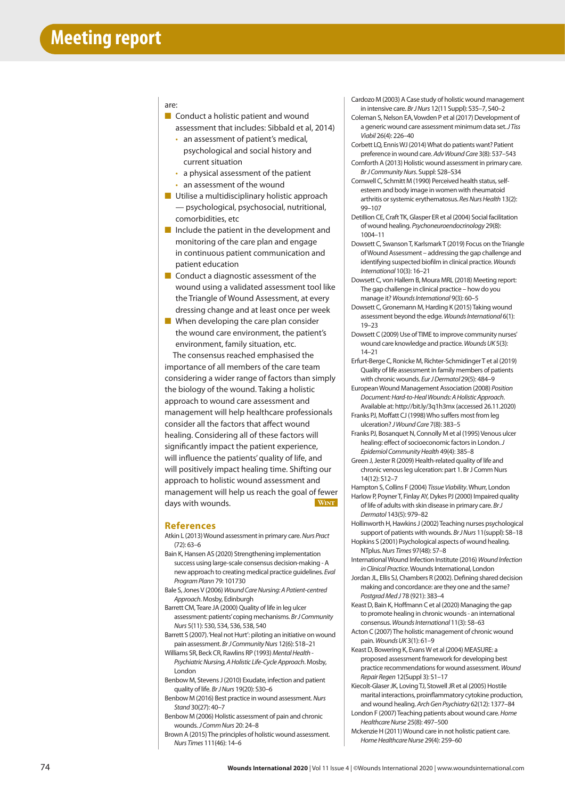#### are:

- Conduct a holistic patient and wound assessment that includes: Sibbald et al, 2014)
	- an assessment of patient's medical, psychological and social history and current situation
	- a physical assessment of the patient • an assessment of the wound
- Utilise a multidisciplinary holistic approach — psychological, psychosocial, nutritional, comorbidities, etc
- Include the patient in the development and monitoring of the care plan and engage in continuous patient communication and patient education
- Conduct a diagnostic assessment of the wound using a validated assessment tool like the Triangle of Wound Assessment, at every dressing change and at least once per week
- When developing the care plan consider the wound care environment, the patient's environment, family situation, etc.

The consensus reached emphasised the importance of all members of the care team considering a wider range of factors than simply the biology of the wound. Taking a holistic approach to wound care assessment and management will help healthcare professionals consider all the factors that affect wound healing. Considering all of these factors will significantly impact the patient experience, will influence the patients' quality of life, and will positively impact healing time. Shifting our approach to holistic wound assessment and management will help us reach the goal of fewer days with wounds. **Wint**

#### **References**

- Atkin L (2013) Wound assessment in primary care. *Nurs Pract* (72): 63–6
- Bain K, Hansen AS (2020) Strengthening implementation success using large-scale consensus decision-making - A new approach to creating medical practice guidelines. *Eval Program Plann* 79: 101730
- Bale S, Jones V (2006) *Wound Care Nursing: A Patient-centred Approach*. Mosby, Edinburgh
- Barrett CM, Teare JA (2000) Quality of life in leg ulcer assessment: patients' coping mechanisms. *Br J Community Nurs* 5(11): 530, 534, 536, 538, 540
- Barrett S (2007). 'Heal not Hurt': piloting an initiative on wound pain assessment. *Br J Community Nurs* 12(6): S18–21
- Williams SR, Beck CR, Rawlins RP (1993) *Mental Health Psychiatric Nursing, A Holistic Life-Cycle Approach*. Mosby, London
- Benbow M, Stevens J (2010) Exudate, infection and patient quality of life. *Br J Nurs* 19(20): S30–6
- Benbow M (2016) Best practice in wound assessment. *Nurs Stand* 30(27): 40–7
- Benbow M (2006) Holistic assessment of pain and chronic wounds. *J Comm Nurs* 20: 24–8
- Brown A (2015) The principles of holistic wound assessment. *Nurs Times* 111(46): 14–6
- Cardozo M (2003) A Case study of holistic wound management in intensive care. *Br J Nurs* 12(11 Suppl): S35–7, S40–2
- Coleman S, Nelson EA, Vowden P et al (2017) Development of a generic wound care assessment minimum data set. *J Tiss Viabil* 26(4): 226–40
- Corbett LQ, Ennis WJ (2014) What do patients want? Patient preference in wound care. *Adv Wound Care* 3(8): 537–543 Cornforth A (2013) Holistic wound assessment in primary care. *Br J Community Nurs*. Suppl: S28–S34
- Cornwell C, Schmitt M (1990) Perceived health status, selfesteem and body image in women with rheumatoid arthritis or systemic erythematosus. *Res Nurs Health* 13(2): 99–107
- Detillion CE, Craft TK, Glasper ER et al (2004) Social facilitation of wound healing. *Psychoneuroendocrinology* 29(8): 1004–11
- Dowsett C, Swanson T, Karlsmark T (2019) Focus on the Triangle of Wound Assessment – addressing the gap challenge and identifying suspected biofilm in clinical practice. *Wounds International* 10(3): 16–21
- Dowsett C, von Hallern B, Moura MRL (2018) Meeting report: The gap challenge in clinical practice – how do you manage it? *Wounds International* 9(3): 60–5
- Dowsett C, Gronemann M, Harding K (2015) Taking wound assessment beyond the edge. *Wounds International* 6(1): 19–23
- Dowsett C (2009) Use of TIME to improve community nurses' wound care knowledge and practice. *Wounds UK* 5(3): 14–21
- Erfurt-Berge C, Ronicke M, Richter-Schmidinger T et al (2019) Quality of life assessment in family members of patients with chronic wounds. *Eur J Dermatol* 29(5): 484–9
- European Wound Management Association (2008) *Position Document: Hard-to-Heal Wounds: A Holistic Approach*. Available at: http://bit.ly/3q1h3mx (accessed 26.11.2020) Franks PJ, Moffatt CJ (1998) Who suffers most from leg
- ulceration? *J Wound Care* 7(8): 383–5 Franks PJ, Bosanquet N, Connolly M et al (1995) Venous ulcer healing: effect of socioeconomic factors in London. *J Epidemiol Community Health* 49(4): 385–8
- Green J, Jester R (2009) Health-related quality of life and chronic venous leg ulceration: part 1. Br J Comm Nurs 14(12): S12–7
- Hampton S, Collins F (2004) *Tissue Viability*. Whurr, London Harlow P, Poyner T, Finlay AY, Dykes PJ (2000) Impaired quality
- of life of adults with skin disease in primary care. *Br J Dermatol* 143(5): 979–82
- Hollinworth H, Hawkins J (2002) Teaching nurses psychological support of patients with wounds. *Br J Nurs* 11(suppl): S8–18 Hopkins S (2001) Psychological aspects of wound healing.
- NTplus. *Nurs Times* 97(48): 57–8
- International Wound Infection Institute (2016) *Wound Infection in Clinical Practice*. Wounds International, London
- Jordan JL, Ellis SJ, Chambers R (2002). Defining shared decision making and concordance: are they one and the same? *Postgrad Med J* 78 (921): 383–4
- Keast D, Bain K, Hoffmann C et al (2020) Managing the gap to promote healing in chronic wounds - an international consensus. *Wounds International* 11(3): 58–63
- Acton C (2007) The holistic management of chronic wound pain. *Wounds UK* 3(1): 61–9
- Keast D, Bowering K, Evans W et al (2004) MEASURE: a proposed assessment framework for developing best practice recommendations for wound assessment. *Wound Repair Regen* 12(Suppl 3): S1–17
- Kiecolt-Glaser JK, Loving TJ, Stowell JR et al (2005) Hostile marital interactions, proinflammatory cytokine production, and wound healing. *Arch Gen Psychiatry* 62(12): 1377–84 London F (2007) Teaching patients about wound care. *Home Healthcare Nurse* 25(8): 497–500
- Mckenzie H (2011) Wound care in not holistic patient care. *Home Healthcare Nurse* 29(4): 259–60